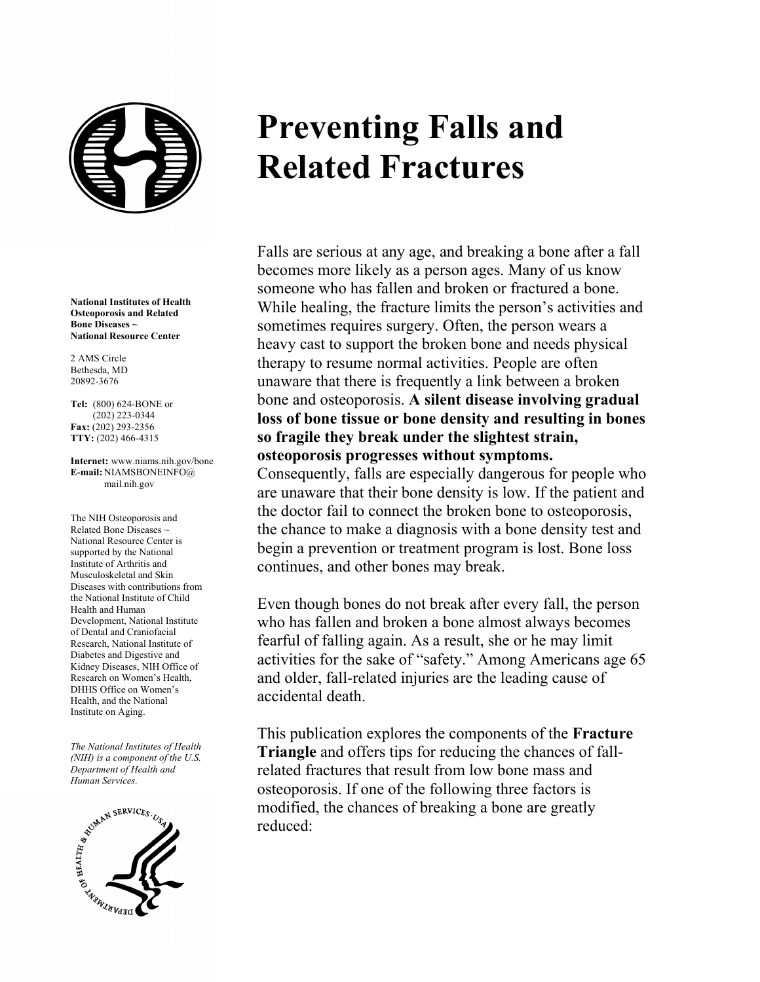

**National Institutes of Health Osteoporosis and Related Bone Diseases ~ National Resource Center**

2 AMS Circle Bethesda, MD 20892-3676

**Tel:** (800) 624-BONE or (202) 223-0344 **Fax:** (202) 293-2356 **TTY:** (202) 466-4315

**Internet:** www.niams.nih.gov/bone **E-mail:** NIAMSBONEINFO@ mail.nih.gov

The NIH Osteoporosis and Related Bone Diseases ~ National Resource Center is supported by the National Institute of Arthritis and Musculoskeletal and Skin Diseases with contributions from the National Institute of Child Health and Human Development, National Institute of Dental and Craniofacial Research, National Institute of Diabetes and Digestive and Kidney Diseases, NIH Office of Research on Women's Health, DHHS Office on Women's Health, and the National Institute on Aging.

*The National Institutes of Health (NIH) is a component of the U.S. Department of Health and* 



# **Preventing Falls and Related Fractures**

Falls are serious at any age, and breaking a bone after a fall becomes more likely as a person ages. Many of us know someone who has fallen and broken or fractured a bone. While healing, the fracture limits the person's activities and sometimes requires surgery. Often, the person wears a heavy cast to support the broken bone and needs physical therapy to resume normal activities. People are often unaware that there is frequently a link between a broken bone and osteoporosis. **A silent disease involving gradual loss of bone tissue or bone density and resulting in bones so fragile they break under the slightest strain, osteoporosis progresses without symptoms.** 

Consequently, falls are especially dangerous for people who are unaware that their bone density is low. If the patient and the doctor fail to connect the broken bone to osteoporosis, the chance to make a diagnosis with a bone density test and begin a prevention or treatment program is lost. Bone loss continues, and other bones may break.

Even though bones do not break after every fall, the person who has fallen and broken a bone almost always becomes fearful of falling again. As a result, she or he may limit activities for the sake of "safety." Among Americans age 65 and older, fall-related injuries are the leading cause of accidental death.

This publication explores the components of the **Fracture Triangle** and offers tips for reducing the chances of fallrelated fractures that result from low bone mass and osteoporosis. If one of the following three factors is modified, the chances of breaking a bone are greatly reduced: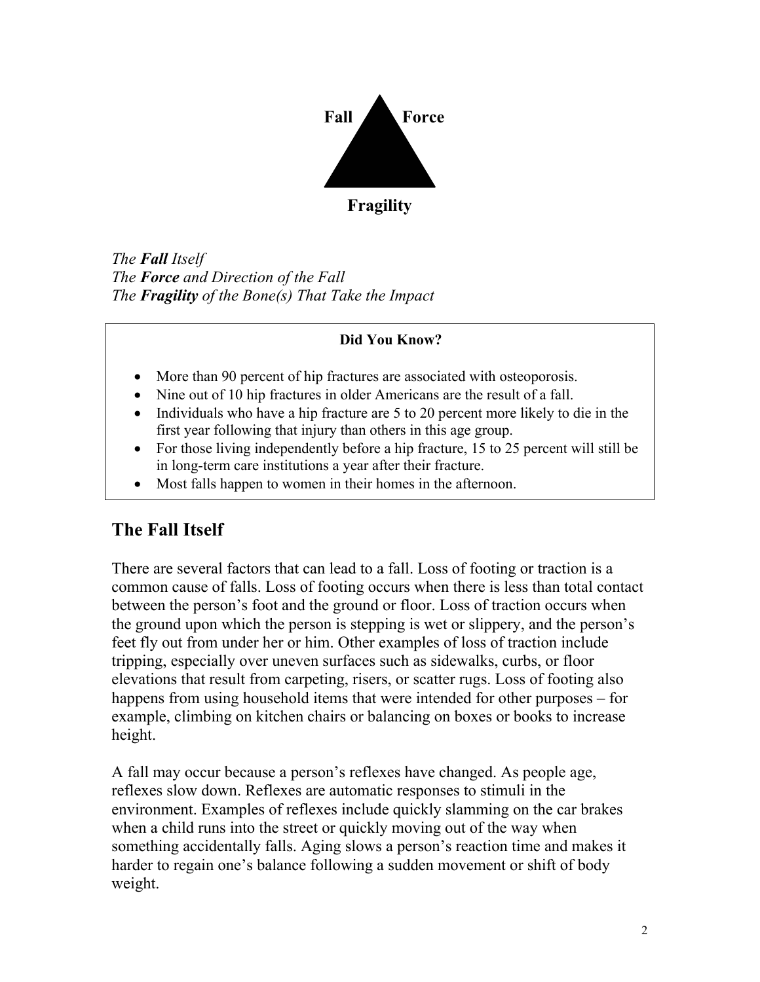

*The Fall Itself The Force and Direction of the Fall The Fragility of the Bone(s) That Take the Impact*

## **Did You Know?**

- More than 90 percent of hip fractures are associated with osteoporosis.
- Nine out of 10 hip fractures in older Americans are the result of a fall.
- Individuals who have a hip fracture are 5 to 20 percent more likely to die in the first year following that injury than others in this age group.
- For those living independently before a hip fracture, 15 to 25 percent will still be in long-term care institutions a year after their fracture.
- Most falls happen to women in their homes in the afternoon.

## **The Fall Itself**

There are several factors that can lead to a fall. Loss of footing or traction is a common cause of falls. Loss of footing occurs when there is less than total contact between the person's foot and the ground or floor. Loss of traction occurs when the ground upon which the person is stepping is wet or slippery, and the person's feet fly out from under her or him. Other examples of loss of traction include tripping, especially over uneven surfaces such as sidewalks, curbs, or floor elevations that result from carpeting, risers, or scatter rugs. Loss of footing also happens from using household items that were intended for other purposes – for example, climbing on kitchen chairs or balancing on boxes or books to increase height.

A fall may occur because a person's reflexes have changed. As people age, reflexes slow down. Reflexes are automatic responses to stimuli in the environment. Examples of reflexes include quickly slamming on the car brakes when a child runs into the street or quickly moving out of the way when something accidentally falls. Aging slows a person's reaction time and makes it harder to regain one's balance following a sudden movement or shift of body weight.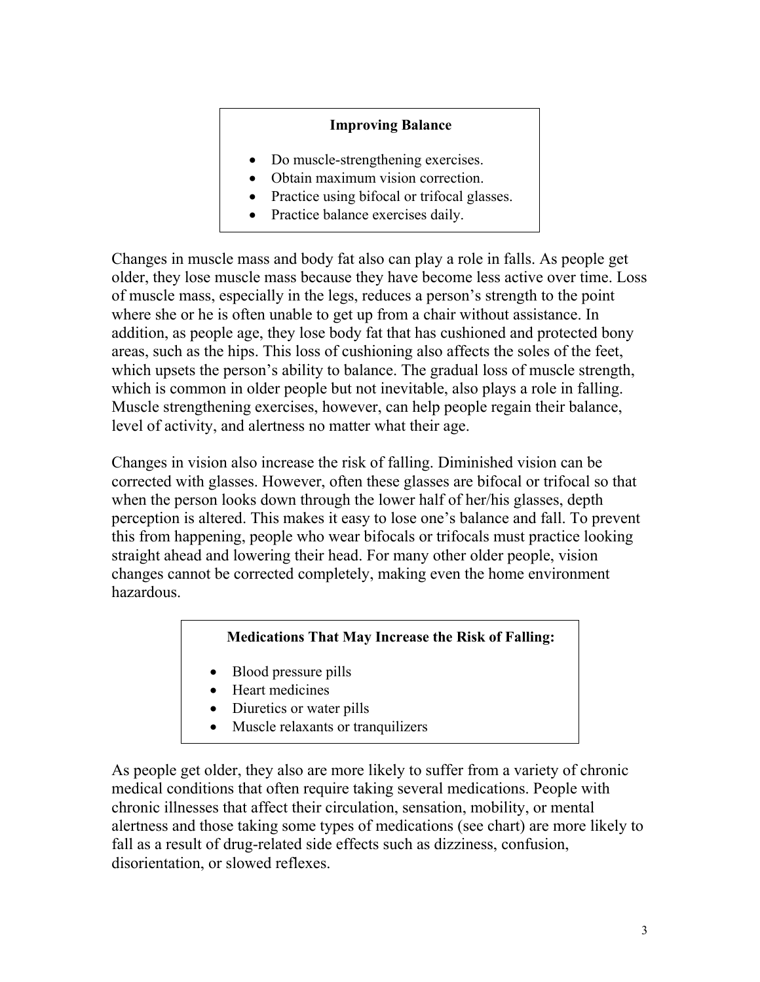#### **Improving Balance**

- Do muscle-strengthening exercises.
- Obtain maximum vision correction.
- Practice using bifocal or trifocal glasses.
- Practice balance exercises daily.

Changes in muscle mass and body fat also can play a role in falls. As people get older, they lose muscle mass because they have become less active over time. Loss of muscle mass, especially in the legs, reduces a person's strength to the point where she or he is often unable to get up from a chair without assistance. In addition, as people age, they lose body fat that has cushioned and protected bony areas, such as the hips. This loss of cushioning also affects the soles of the feet, which upsets the person's ability to balance. The gradual loss of muscle strength, which is common in older people but not inevitable, also plays a role in falling. Muscle strengthening exercises, however, can help people regain their balance, level of activity, and alertness no matter what their age.

Changes in vision also increase the risk of falling. Diminished vision can be corrected with glasses. However, often these glasses are bifocal or trifocal so that when the person looks down through the lower half of her/his glasses, depth perception is altered. This makes it easy to lose one's balance and fall. To prevent this from happening, people who wear bifocals or trifocals must practice looking straight ahead and lowering their head. For many other older people, vision changes cannot be corrected completely, making even the home environment hazardous.

## **Medications That May Increase the Risk of Falling:**

- Blood pressure pills
- Heart medicines
- Diuretics or water pills
- Muscle relaxants or tranquilizers

As people get older, they also are more likely to suffer from a variety of chronic medical conditions that often require taking several medications. People with chronic illnesses that affect their circulation, sensation, mobility, or mental alertness and those taking some types of medications (see chart) are more likely to fall as a result of drug-related side effects such as dizziness, confusion, disorientation, or slowed reflexes.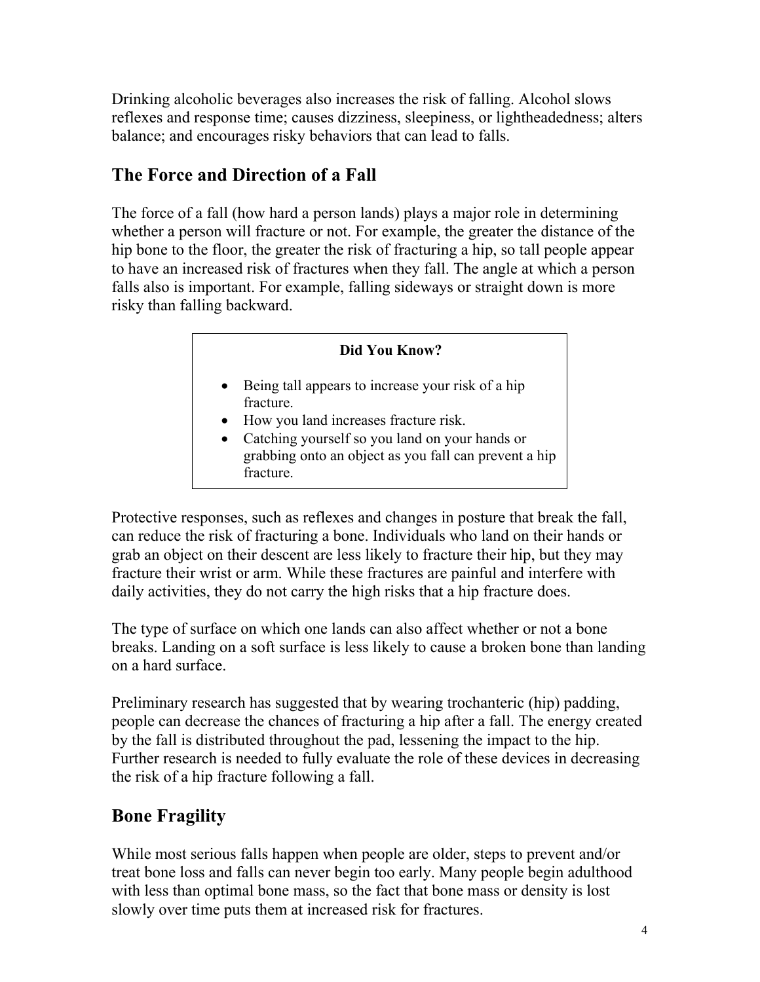Drinking alcoholic beverages also increases the risk of falling. Alcohol slows reflexes and response time; causes dizziness, sleepiness, or lightheadedness; alters balance; and encourages risky behaviors that can lead to falls.

## **The Force and Direction of a Fall**

The force of a fall (how hard a person lands) plays a major role in determining whether a person will fracture or not. For example, the greater the distance of the hip bone to the floor, the greater the risk of fracturing a hip, so tall people appear to have an increased risk of fractures when they fall. The angle at which a person falls also is important. For example, falling sideways or straight down is more risky than falling backward.

## **Did You Know?**

- Being tall appears to increase your risk of a hip fracture.
- How you land increases fracture risk.
- Catching yourself so you land on your hands or grabbing onto an object as you fall can prevent a hip fracture.

Protective responses, such as reflexes and changes in posture that break the fall, can reduce the risk of fracturing a bone. Individuals who land on their hands or grab an object on their descent are less likely to fracture their hip, but they may fracture their wrist or arm. While these fractures are painful and interfere with daily activities, they do not carry the high risks that a hip fracture does.

The type of surface on which one lands can also affect whether or not a bone breaks. Landing on a soft surface is less likely to cause a broken bone than landing on a hard surface.

Preliminary research has suggested that by wearing trochanteric (hip) padding, people can decrease the chances of fracturing a hip after a fall. The energy created by the fall is distributed throughout the pad, lessening the impact to the hip. Further research is needed to fully evaluate the role of these devices in decreasing the risk of a hip fracture following a fall.

## **Bone Fragility**

While most serious falls happen when people are older, steps to prevent and/or treat bone loss and falls can never begin too early. Many people begin adulthood with less than optimal bone mass, so the fact that bone mass or density is lost slowly over time puts them at increased risk for fractures.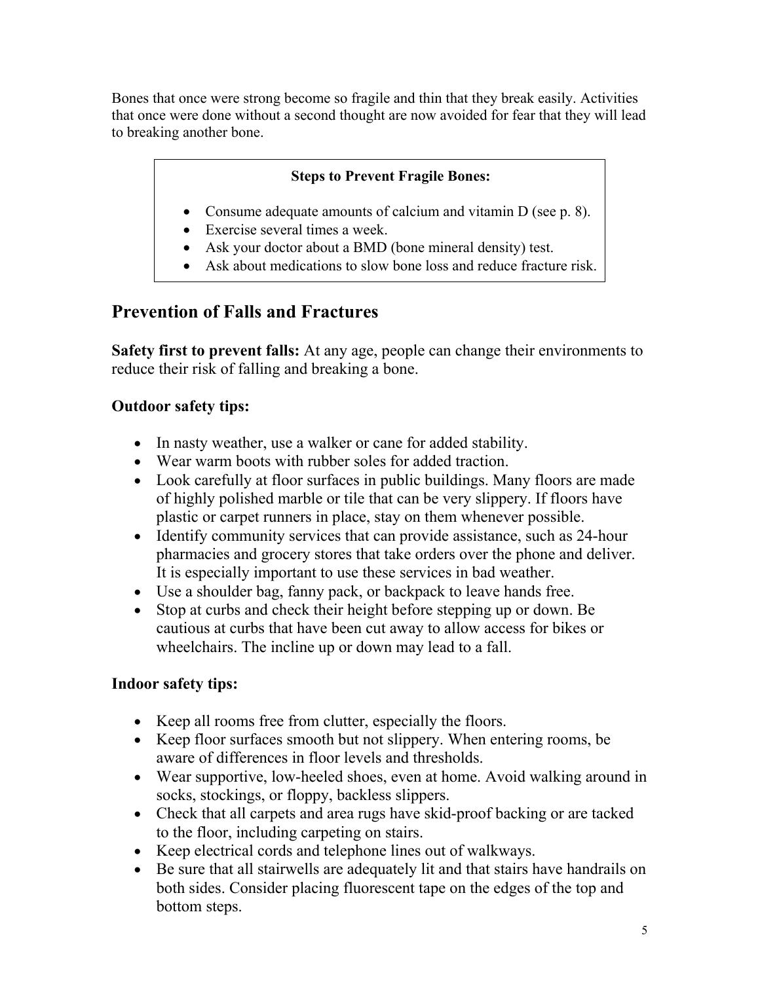Bones that once were strong become so fragile and thin that they break easily. Activities that once were done without a second thought are now avoided for fear that they will lead to breaking another bone.

## **Steps to Prevent Fragile Bones:**

- Consume adequate amounts of calcium and vitamin D (see p. 8).
- Exercise several times a week.
- Ask your doctor about a BMD (bone mineral density) test.
- Ask about medications to slow bone loss and reduce fracture risk.

## **Prevention of Falls and Fractures**

**Safety first to prevent falls:** At any age, people can change their environments to reduce their risk of falling and breaking a bone.

## **Outdoor safety tips:**

- In nasty weather, use a walker or cane for added stability.
- Wear warm boots with rubber soles for added traction.
- Look carefully at floor surfaces in public buildings. Many floors are made of highly polished marble or tile that can be very slippery. If floors have plastic or carpet runners in place, stay on them whenever possible.
- Identify community services that can provide assistance, such as 24-hour pharmacies and grocery stores that take orders over the phone and deliver. It is especially important to use these services in bad weather.
- Use a shoulder bag, fanny pack, or backpack to leave hands free.
- Stop at curbs and check their height before stepping up or down. Be cautious at curbs that have been cut away to allow access for bikes or wheelchairs. The incline up or down may lead to a fall.

## **Indoor safety tips:**

- Keep all rooms free from clutter, especially the floors.
- Keep floor surfaces smooth but not slippery. When entering rooms, be aware of differences in floor levels and thresholds.
- Wear supportive, low-heeled shoes, even at home. Avoid walking around in socks, stockings, or floppy, backless slippers.
- Check that all carpets and area rugs have skid-proof backing or are tacked to the floor, including carpeting on stairs.
- Keep electrical cords and telephone lines out of walkways.
- Be sure that all stairwells are adequately lit and that stairs have handrails on both sides. Consider placing fluorescent tape on the edges of the top and bottom steps.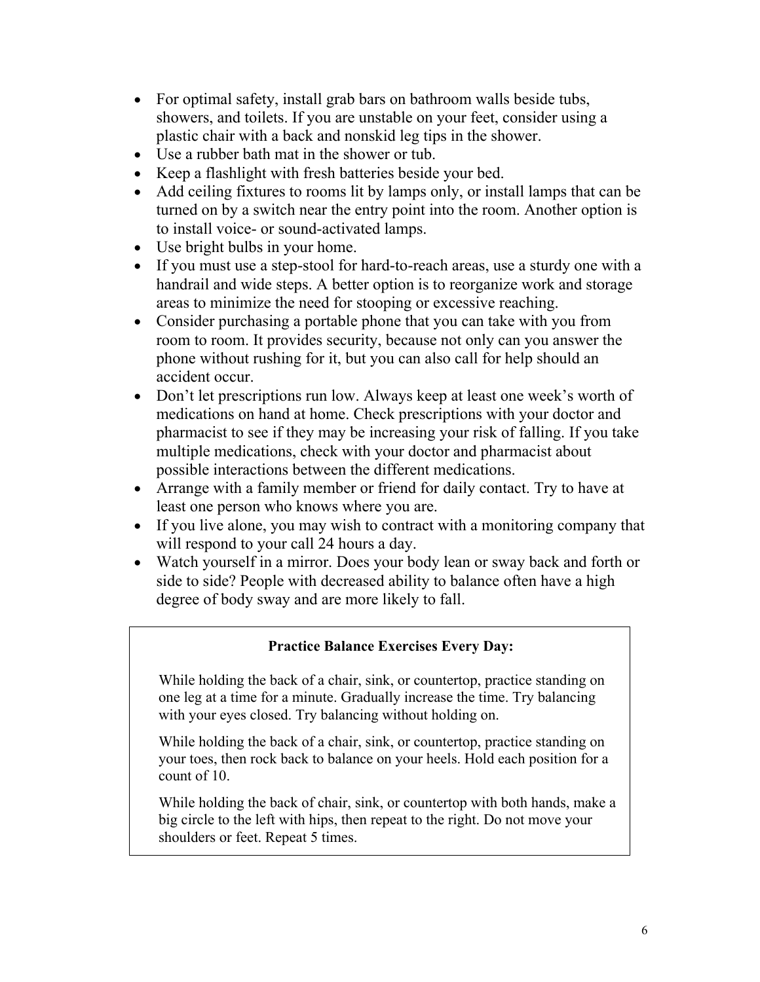- For optimal safety, install grab bars on bathroom walls beside tubs, showers, and toilets. If you are unstable on your feet, consider using a plastic chair with a back and nonskid leg tips in the shower.
- Use a rubber bath mat in the shower or tub.
- Keep a flashlight with fresh batteries beside your bed.
- Add ceiling fixtures to rooms lit by lamps only, or install lamps that can be turned on by a switch near the entry point into the room. Another option is to install voice- or sound-activated lamps.
- Use bright bulbs in your home.
- If you must use a step-stool for hard-to-reach areas, use a sturdy one with a handrail and wide steps. A better option is to reorganize work and storage areas to minimize the need for stooping or excessive reaching.
- Consider purchasing a portable phone that you can take with you from room to room. It provides security, because not only can you answer the phone without rushing for it, but you can also call for help should an accident occur.
- Don't let prescriptions run low. Always keep at least one week's worth of medications on hand at home. Check prescriptions with your doctor and pharmacist to see if they may be increasing your risk of falling. If you take multiple medications, check with your doctor and pharmacist about possible interactions between the different medications.
- Arrange with a family member or friend for daily contact. Try to have at least one person who knows where you are.
- If you live alone, you may wish to contract with a monitoring company that will respond to your call 24 hours a day.
- Watch yourself in a mirror. Does your body lean or sway back and forth or side to side? People with decreased ability to balance often have a high degree of body sway and are more likely to fall.

## **Practice Balance Exercises Every Day:**

While holding the back of a chair, sink, or countertop, practice standing on one leg at a time for a minute. Gradually increase the time. Try balancing with your eyes closed. Try balancing without holding on.

While holding the back of a chair, sink, or countertop, practice standing on your toes, then rock back to balance on your heels. Hold each position for a count of 10.

While holding the back of chair, sink, or countertop with both hands, make a big circle to the left with hips, then repeat to the right. Do not move your shoulders or feet. Repeat 5 times.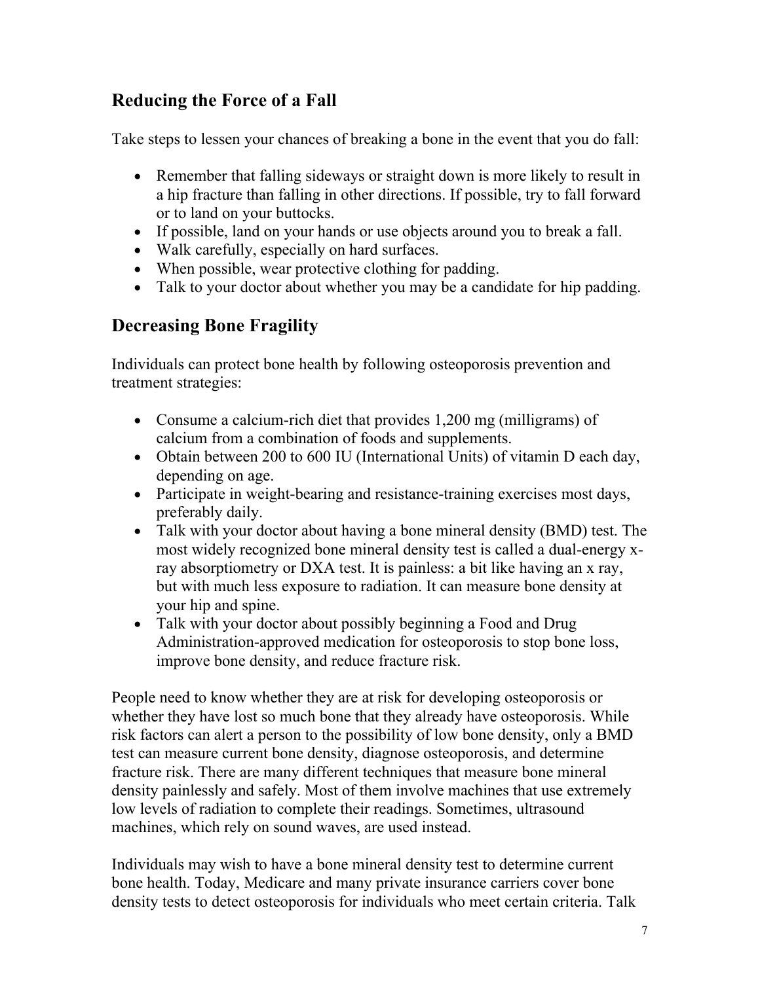# **Reducing the Force of a Fall**

Take steps to lessen your chances of breaking a bone in the event that you do fall:

- Remember that falling sideways or straight down is more likely to result in a hip fracture than falling in other directions. If possible, try to fall forward or to land on your buttocks.
- If possible, land on your hands or use objects around you to break a fall.
- Walk carefully, especially on hard surfaces.
- When possible, wear protective clothing for padding.
- Talk to your doctor about whether you may be a candidate for hip padding.

# **Decreasing Bone Fragility**

Individuals can protect bone health by following osteoporosis prevention and treatment strategies:

- Consume a calcium-rich diet that provides 1,200 mg (milligrams) of calcium from a combination of foods and supplements.
- Obtain between 200 to 600 IU (International Units) of vitamin D each day, depending on age.
- Participate in weight-bearing and resistance-training exercises most days, preferably daily.
- Talk with your doctor about having a bone mineral density (BMD) test. The most widely recognized bone mineral density test is called a dual-energy xray absorptiometry or DXA test. It is painless: a bit like having an x ray, but with much less exposure to radiation. It can measure bone density at your hip and spine.
- Talk with your doctor about possibly beginning a Food and Drug Administration-approved medication for osteoporosis to stop bone loss, improve bone density, and reduce fracture risk.

People need to know whether they are at risk for developing osteoporosis or whether they have lost so much bone that they already have osteoporosis. While risk factors can alert a person to the possibility of low bone density, only a BMD test can measure current bone density, diagnose osteoporosis, and determine fracture risk. There are many different techniques that measure bone mineral density painlessly and safely. Most of them involve machines that use extremely low levels of radiation to complete their readings. Sometimes, ultrasound machines, which rely on sound waves, are used instead.

Individuals may wish to have a bone mineral density test to determine current bone health. Today, Medicare and many private insurance carriers cover bone density tests to detect osteoporosis for individuals who meet certain criteria. Talk